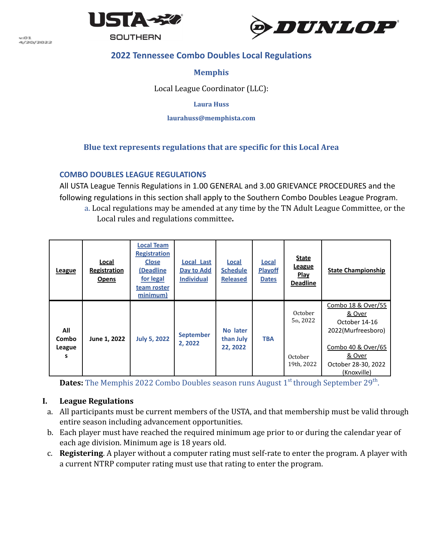

w.GCL -----<br>4/20/2022 **SOUTHERN** 



# **2022 Tennessee Combo Doubles Local Regulations**

## **Memphis**

Local League Coordinator (LLC):

**Laura Huss**

**[laurahuss@memphista.com](mailto:laurahuss@memphista.com)**

## **Blue text represents regulations that are specific for this Local Area**

### **COMBO DOUBLES LEAGUE REGULATIONS**

All USTA League Tennis Regulations in 1.00 GENERAL and 3.00 GRIEVANCE PROCEDURES and the following regulations in this section shall apply to the Southern Combo Doubles League Program. a. Local regulations may be amended at any time by the TN Adult League Committee, or the Local rules and regulations committee**.**

| League                      | Local<br>Registration<br><b>Opens</b> | <b>Local Team</b><br><b>Registration</b><br><b>Close</b><br>(Deadline<br>for legal<br>team roster<br>minimum) | <b>Local Last</b><br>Day to Add<br><b>Individual</b> | <b>Local</b><br><b>Schedule</b><br><b>Released</b> | <b>Local</b><br><b>Playoff</b><br><b>Dates</b> | <b>State</b><br><b>League</b><br>Play<br><b>Deadline</b> | <b>State Championship</b>                                                                                                                            |
|-----------------------------|---------------------------------------|---------------------------------------------------------------------------------------------------------------|------------------------------------------------------|----------------------------------------------------|------------------------------------------------|----------------------------------------------------------|------------------------------------------------------------------------------------------------------------------------------------------------------|
| All<br>Combo<br>League<br>s | June 1, 2022                          | <b>July 5, 2022</b>                                                                                           | <b>September</b><br>2, 2022                          | No later<br>than July<br>22, 2022                  | <b>TBA</b>                                     | October<br>5th, 2022<br>October<br>19th, 2022            | Combo 18 & Over/55<br>& Over<br>October 14-16<br>2022(Murfreesboro)<br>Combo 40 & Over/65<br><u>&amp; Over</u><br>October 28-30, 2022<br>(Knoxville) |

**Dates:** The Memphis 2022 Combo Doubles season runs August 1st through September 29<sup>th</sup>.

### **I. League Regulations**

- a. All participants must be current members of the USTA, and that membership must be valid through entire season including advancement opportunities.
- b. Each player must have reached the required minimum age prior to or during the calendar year of each age division. Minimum age is 18 years old.
- c. **Registering**. A player without a computer rating must self-rate to enter the program. A player with a current NTRP computer rating must use that rating to enter the program.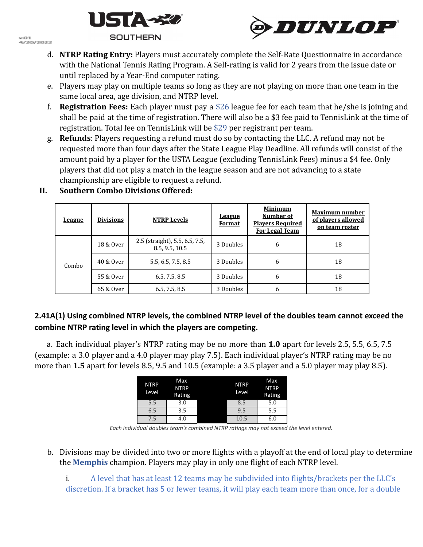



- d. **NTRP Rating Entry:** Players must accurately complete the Self-Rate Questionnaire in accordance with the National Tennis Rating Program. A Self-rating is valid for 2 years from the issue date or until replaced by a Year-End computer rating.
- e. Players may play on multiple teams so long as they are not playing on more than one team in the same local area, age division, and NTRP level.
- f. **Registration Fees:** Each player must pay a \$26 league fee for each team that he/she is joining and shall be paid at the time of registration. There will also be a \$3 fee paid to TennisLink at the time of registration. Total fee on TennisLink will be \$29 per registrant per team.
- g. **Refunds**: Players requesting a refund must do so by contacting the LLC. A refund may not be requested more than four days after the State League Play Deadline. All refunds will consist of the amount paid by a player for the USTA League (excluding TennisLink Fees) minus a \$4 fee. Only players that did not play a match in the league season and are not advancing to a state championship are eligible to request a refund.

| League | <b>Divisions</b> | <b>NTRP Levels</b>                               | <b>League</b><br><b>Format</b> | <b>Minimum</b><br>Number of<br><b>Players Required</b><br>For Legal Team | <b>Maximum number</b><br>of players allowed<br>on team roster |
|--------|------------------|--------------------------------------------------|--------------------------------|--------------------------------------------------------------------------|---------------------------------------------------------------|
| Combo  | 18 & Over        | 2.5 (straight), 5.5, 6.5, 7.5,<br>8.5, 9.5, 10.5 | 3 Doubles                      | 6                                                                        | 18                                                            |
|        | 40 & Over        | 5.5, 6.5, 7.5, 8.5                               | 3 Doubles                      | 6                                                                        | 18                                                            |
|        | 55 & Over        | 6.5, 7.5, 8.5                                    | 3 Doubles                      | 6                                                                        | 18                                                            |
|        | 65 & Over        | 6.5, 7.5, 8.5                                    | 3 Doubles                      | 6                                                                        | 18                                                            |

# **II. Southern Combo Divisions Offered:**

## **2.41A(1) Using combined NTRP levels, the combined NTRP level of the doubles team cannot exceed the combine NTRP rating level in which the players are competing.**

a. Each individual player's NTRP rating may be no more than **1.0** apart for levels 2.5, 5.5, 6.5, 7.5 (example: a 3.0 player and a 4.0 player may play 7.5). Each individual player's NTRP rating may be no more than **1.5** apart for levels 8.5, 9.5 and 10.5 (example: a 3.5 player and a 5.0 player may play 8.5).

| <b>NTRP</b><br>Level | Max<br><b>NTRP</b><br>Rating | <b>NTRP</b><br>Level | Max<br><b>NTRP</b><br>Rating |
|----------------------|------------------------------|----------------------|------------------------------|
| 5.5                  | 3.0                          | 8.5                  | 5.0                          |
| 6.5                  | 3.5                          | 9.5                  | 5.5                          |
| 7.5                  | 4.0                          | 10.5                 | 6.0                          |

*Each individual doubles team's combined NTRP ratings may not exceed the level entered.*

b. Divisions may be divided into two or more flights with a playoff at the end of local play to determine the **Memphis** champion. Players may play in only one flight of each NTRP level.

i. A level that has at least 12 teams may be subdivided into flights/brackets per the LLC's discretion. If a bracket has 5 or fewer teams, it will play each team more than once, for a double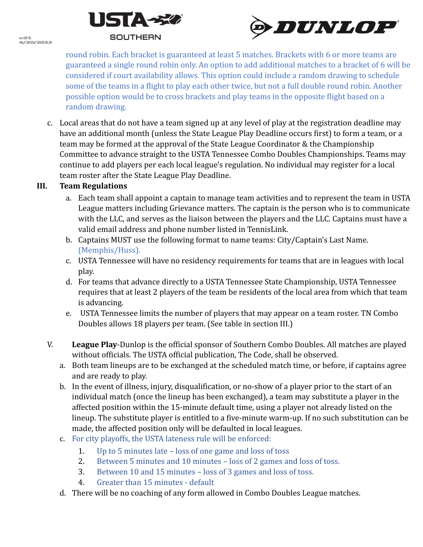

**COL** ......<br>4/20/2012



round robin. Each bracket is guaranteed at least 5 matches. Brackets with 6 or more teams are guaranteed a single round robin only. An option to add additional matches to a bracket of 6 will be considered if court availability allows. This option could include a random drawing to schedule some of the teams in a flight to play each other twice, but not a full double round robin. Another possible option would be to cross brackets and play teams in the opposite flight based on a random drawing.

c. Local areas that do not have a team signed up at any level of play at the registration deadline may have an additional month (unless the State League Play Deadline occurs first) to form a team, or a team may be formed at the approval of the State League Coordinator & the Championship Committee to advance straight to the USTA Tennessee Combo Doubles Championships. Teams may continue to add players per each local league's regulation. No individual may register for a local team roster after the State League Play Deadline.

## **III. Team Regulations**

- a. Each team shall appoint a captain to manage team activities and to represent the team in USTA League matters including Grievance matters. The captain is the person who is to communicate with the LLC, and serves as the liaison between the players and the LLC. Captains must have a valid email address and phone number listed in TennisLink.
- b. Captains MUST use the following format to name teams: City/Captain's Last Name. (Memphis/Huss).
- c. USTA Tennessee will have no residency requirements for teams that are in leagues with local play.
- d. For teams that advance directly to a USTA Tennessee State Championship, USTA Tennessee requires that at least 2 players of the team be residents of the local area from which that team is advancing.
- e. USTA Tennessee limits the number of players that may appear on a team roster. TN Combo Doubles allows 18 players per team. (See table in section III.)
- V. **League Play**-Dunlop is the official sponsor of Southern Combo Doubles. All matches are played without officials. The USTA official publication, The Code, shall be observed.
	- a. Both team lineups are to be exchanged at the scheduled match time, or before, if captains agree and are ready to play.
	- b. In the event of illness, injury, disqualification, or no-show of a player prior to the start of an individual match (once the lineup has been exchanged), a team may substitute a player in the affected position within the 15-minute default time, using a player not already listed on the lineup. The substitute player is entitled to a five-minute warm-up. If no such substitution can be made, the affected position only will be defaulted in local leagues.
	- c. For city playoffs, the USTA lateness rule will be enforced:
		- 1. Up to 5 minutes late loss of one game and loss of toss
		- 2. Between 5 minutes and 10 minutes loss of 2 games and loss of toss.
		- 3. Between 10 and 15 minutes loss of 3 games and loss of toss.
		- 4. Greater than 15 minutes default
	- d. There will be no coaching of any form allowed in Combo Doubles League matches.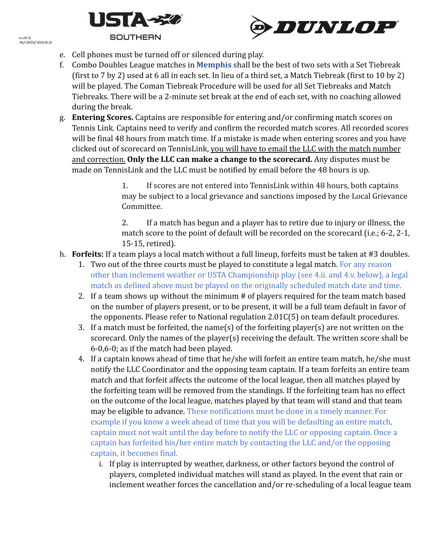

w.O.L ......<br>4/20/2012





- e. Cell phones must be turned off or silenced during play.
- f. Combo Doubles League matches in **Memphis** shall be the best of two sets with a Set Tiebreak (first to 7 by 2) used at 6 all in each set. In lieu of a third set, a Match Tiebreak (first to 10 by 2) will be played. The Coman Tiebreak Procedure will be used for all Set Tiebreaks and Match Tiebreaks. There will be a 2-minute set break at the end of each set, with no coaching allowed during the break.
- g. **Entering Scores.** Captains are responsible for entering and/or confirming match scores on Tennis Link. Captains need to verify and confirm the recorded match scores. All recorded scores will be final 48 hours from match time. If a mistake is made when entering scores and you have clicked out of scorecard on TennisLink, you will have to email the LLC with the match number and correction. **Only the LLC can make a change to the scorecard.** Any disputes must be made on TennisLink and the LLC must be notified by email before the 48 hours is up.

1. If scores are not entered into TennisLink within 48 hours, both captains may be subject to a local grievance and sanctions imposed by the Local Grievance Committee.

2. If a match has begun and a player has to retire due to injury or illness, the match score to the point of default will be recorded on the scorecard (i.e.; 6-2, 2-1, 15-15, retired).

- h. **Forfeits:** If a team plays a local match without a full lineup, forfeits must be taken at #3 doubles.
	- 1. Two out of the three courts must be played to constitute a legal match. For any reason other than inclement weather or USTA Championship play (see 4.ii. and 4.v. below), a legal match as defined above must be played on the originally scheduled match date and time.
	- 2. If a team shows up without the minimum # of players required for the team match based on the number of players present, or to be present, it will be a full team default in favor of the opponents. Please refer to National regulation 2.01C(5) on team default procedures.
	- 3. If a match must be forfeited, the name(s) of the forfeiting player(s) are not written on the scorecard. Only the names of the player(s) receiving the default. The written score shall be 6-0,6-0; as if the match had been played.
	- 4. If a captain knows ahead of time that he/she will forfeit an entire team match, he/she must notify the LLC Coordinator and the opposing team captain. If a team forfeits an entire team match and that forfeit affects the outcome of the local league, then all matches played by the forfeiting team will be removed from the standings. If the forfeiting team has no effect on the outcome of the local league, matches played by that team will stand and that team may be eligible to advance. These notifications must be done in a timely manner. For example if you know a week ahead of time that you will be defaulting an entire match, captain must not wait until the day before to notify the LLC or opposing captain. Once a captain has forfeited his/her entire match by contacting the LLC and/or the opposing captain, it becomes final.
		- i. If play is interrupted by weather, darkness, or other factors beyond the control of players, completed individual matches will stand as played. In the event that rain or inclement weather forces the cancellation and/or re-scheduling of a local league team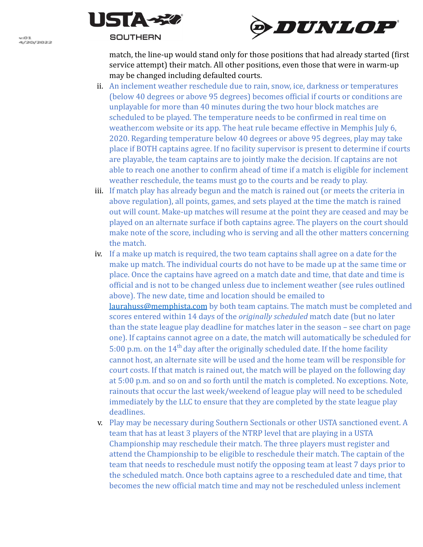



match, the line-up would stand only for those positions that had already started (first service attempt) their match. All other positions, even those that were in warm-up may be changed including defaulted courts.

- ii. An inclement weather reschedule due to rain, snow, ice, darkness or temperatures (below 40 degrees or above 95 degrees) becomes official if courts or conditions are unplayable for more than 40 minutes during the two hour block matches are scheduled to be played. The temperature needs to be confirmed in real time on weather.com website or its app. The heat rule became effective in Memphis July 6, 2020. Regarding temperature below 40 degrees or above 95 degrees, play may take place if BOTH captains agree. If no facility supervisor is present to determine if courts are playable, the team captains are to jointly make the decision. If captains are not able to reach one another to confirm ahead of time if a match is eligible for inclement weather reschedule, the teams must go to the courts and be ready to play.
- iii. If match play has already begun and the match is rained out (or meets the criteria in above regulation), all points, games, and sets played at the time the match is rained out will count. Make-up matches will resume at the point they are ceased and may be played on an alternate surface if both captains agree. The players on the court should make note of the score, including who is serving and all the other matters concerning the match.
- iv. If a make up match is required, the two team captains shall agree on a date for the make up match. The individual courts do not have to be made up at the same time or place. Once the captains have agreed on a match date and time, that date and time is official and is not to be changed unless due to inclement weather (see rules outlined above). The new date, time and location should be emailed to [laurahuss@memphista.com](mailto:laurahuss@memphista.com) by both team captains. The match must be completed and scores entered within 14 days of the *originally scheduled* match date (but no later than the state league play deadline for matches later in the season – see chart on page one). If captains cannot agree on a date, the match will automatically be scheduled for 5:00 p.m. on the  $14<sup>th</sup>$  day after the originally scheduled date. If the home facility cannot host, an alternate site will be used and the home team will be responsible for court costs. If that match is rained out, the match will be played on the following day at 5:00 p.m. and so on and so forth until the match is completed. No exceptions. Note, rainouts that occur the last week/weekend of league play will need to be scheduled immediately by the LLC to ensure that they are completed by the state league play deadlines.
- v. Play may be necessary during Southern Sectionals or other USTA sanctioned event. A team that has at least 3 players of the NTRP level that are playing in a USTA Championship may reschedule their match. The three players must register and attend the Championship to be eligible to reschedule their match. The captain of the team that needs to reschedule must notify the opposing team at least 7 days prior to the scheduled match. Once both captains agree to a rescheduled date and time, that becomes the new official match time and may not be rescheduled unless inclement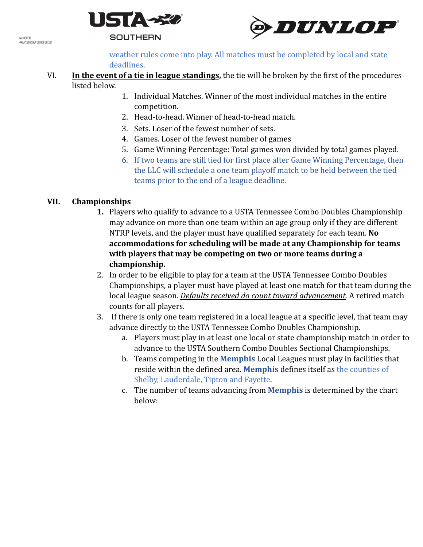



w.GCL ......<br>4/20/2012

> weather rules come into play. All matches must be completed by local and state deadlines.

- VI. **In the event of a tie in league standings,** the tie will be broken by the first of the procedures listed below.
	- 1. Individual Matches. Winner of the most individual matches in the entire competition.
	- 2. Head-to-head. Winner of head-to-head match.
	- 3. Sets. Loser of the fewest number of sets.
	- 4. Games. Loser of the fewest number of games
	- 5. Game Winning Percentage: Total games won divided by total games played.
	- 6. If two teams are still tied for first place after Game Winning Percentage, then the LLC will schedule a one team playoff match to be held between the tied teams prior to the end of a league deadline.

## **VII. Championships**

- **1.** Players who qualify to advance to a USTA Tennessee Combo Doubles Championship may advance on more than one team within an age group only if they are different NTRP levels, and the player must have qualified separately for each team. **No accommodations for scheduling will be made at any Championship for teams with players that may be competing on two or more teams during a championship.**
- 2. In order to be eligible to play for a team at the USTA Tennessee Combo Doubles Championships, a player must have played at least one match for that team during the local league season. *Defaults received do count toward advancement.* A retired match counts for all players.
- 3. If there is only one team registered in a local league at a specific level, that team may advance directly to the USTA Tennessee Combo Doubles Championship.
	- a. Players must play in at least one local or state championship match in order to advance to the USTA Southern Combo Doubles Sectional Championships.
	- b. Teams competing in the **Memphis** Local Leagues must play in facilities that reside within the defined area. **Memphis** defines itself as the counties of Shelby, Lauderdale, Tipton and Fayette.
	- c. The number of teams advancing from **Memphis** is determined by the chart below: